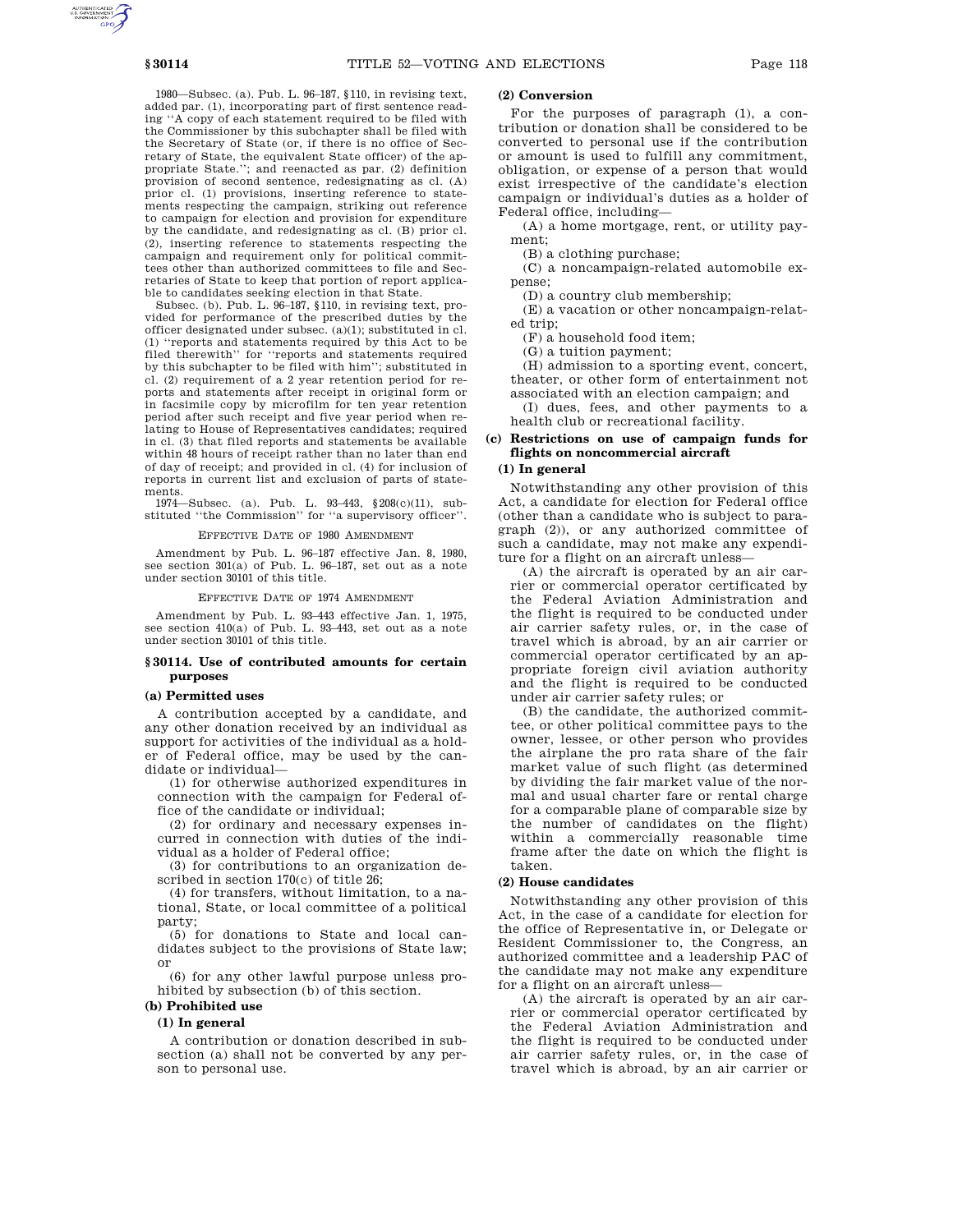1980—Subsec. (a). Pub. L. 96–187, §110, in revising text, added par. (1), incorporating part of first sentence reading ''A copy of each statement required to be filed with the Commissioner by this subchapter shall be filed with the Secretary of State (or, if there is no office of Secretary of State, the equivalent State officer) of the appropriate State.''; and reenacted as par. (2) definition provision of second sentence, redesignating as cl. (A) prior cl. (1) provisions, inserting reference to statements respecting the campaign, striking out reference to campaign for election and provision for expenditure by the candidate, and redesignating as cl. (B) prior cl. (2), inserting reference to statements respecting the campaign and requirement only for political committees other than authorized committees to file and Secretaries of State to keep that portion of report applicable to candidates seeking election in that State.

Subsec. (b). Pub. L. 96–187, §110, in revising text, provided for performance of the prescribed duties by the officer designated under subsec. (a)(1); substituted in cl. (1) ''reports and statements required by this Act to be filed therewith'' for ''reports and statements required by this subchapter to be filed with him''; substituted in cl. (2) requirement of a 2 year retention period for reports and statements after receipt in original form or in facsimile copy by microfilm for ten year retention period after such receipt and five year period when relating to House of Representatives candidates; required in cl. (3) that filed reports and statements be available within 48 hours of receipt rather than no later than end of day of receipt; and provided in cl. (4) for inclusion of reports in current list and exclusion of parts of statements.

1974—Subsec. (a). Pub. L. 93–443, §208(c)(11), substituted ''the Commission'' for ''a supervisory officer''.

#### EFFECTIVE DATE OF 1980 AMENDMENT

Amendment by Pub. L. 96–187 effective Jan. 8, 1980, see section 301(a) of Pub. L. 96–187, set out as a note under section 30101 of this title.

EFFECTIVE DATE OF 1974 AMENDMENT

Amendment by Pub. L. 93–443 effective Jan. 1, 1975, see section 410(a) of Pub. L. 93–443, set out as a note under section 30101 of this title.

# **§ 30114. Use of contributed amounts for certain purposes**

#### **(a) Permitted uses**

A contribution accepted by a candidate, and any other donation received by an individual as support for activities of the individual as a holder of Federal office, may be used by the candidate or individual—

(1) for otherwise authorized expenditures in connection with the campaign for Federal office of the candidate or individual;

(2) for ordinary and necessary expenses incurred in connection with duties of the individual as a holder of Federal office;

(3) for contributions to an organization described in section 170(c) of title 26;

(4) for transfers, without limitation, to a national, State, or local committee of a political party;

(5) for donations to State and local candidates subject to the provisions of State law; or

(6) for any other lawful purpose unless prohibited by subsection (b) of this section.

# **(b) Prohibited use**

## **(1) In general**

A contribution or donation described in subsection (a) shall not be converted by any person to personal use.

# **(2) Conversion**

For the purposes of paragraph (1), a contribution or donation shall be considered to be converted to personal use if the contribution or amount is used to fulfill any commitment, obligation, or expense of a person that would exist irrespective of the candidate's election campaign or individual's duties as a holder of Federal office, including—

(A) a home mortgage, rent, or utility payment;

(B) a clothing purchase;

(C) a noncampaign-related automobile expense;

(D) a country club membership;

(E) a vacation or other noncampaign-related trip;

(F) a household food item;

(G) a tuition payment;

(H) admission to a sporting event, concert, theater, or other form of entertainment not associated with an election campaign; and

(I) dues, fees, and other payments to a health club or recreational facility.

## **(c) Restrictions on use of campaign funds for flights on noncommercial aircraft**

## **(1) In general**

Notwithstanding any other provision of this Act, a candidate for election for Federal office (other than a candidate who is subject to paragraph (2)), or any authorized committee of such a candidate, may not make any expenditure for a flight on an aircraft unless—

(A) the aircraft is operated by an air carrier or commercial operator certificated by the Federal Aviation Administration and the flight is required to be conducted under air carrier safety rules, or, in the case of travel which is abroad, by an air carrier or commercial operator certificated by an appropriate foreign civil aviation authority and the flight is required to be conducted under air carrier safety rules; or

(B) the candidate, the authorized committee, or other political committee pays to the owner, lessee, or other person who provides the airplane the pro rata share of the fair market value of such flight (as determined by dividing the fair market value of the normal and usual charter fare or rental charge for a comparable plane of comparable size by the number of candidates on the flight) within a commercially reasonable time frame after the date on which the flight is taken.

# **(2) House candidates**

Notwithstanding any other provision of this Act, in the case of a candidate for election for the office of Representative in, or Delegate or Resident Commissioner to, the Congress, an authorized committee and a leadership PAC of the candidate may not make any expenditure for a flight on an aircraft unless—

(A) the aircraft is operated by an air carrier or commercial operator certificated by the Federal Aviation Administration and the flight is required to be conducted under air carrier safety rules, or, in the case of travel which is abroad, by an air carrier or